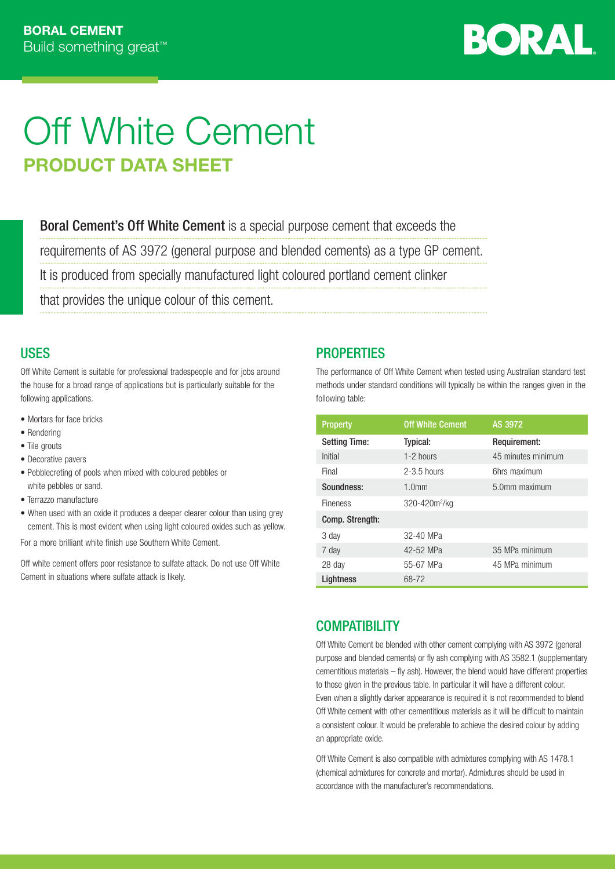

# Off White Cement PRODUCT DATA SHEET

Boral Cement's Off White Cement is a special purpose cement that exceeds the

requirements of AS 3972 (general purpose and blended cements) as a type GP cement.

It is produced from specially manufactured light coloured portland cement clinker

that provides the unique colour of this cement.

## **USES**

Off White Cement is suitable for professional tradespeople and for jobs around the house for a broad range of applications but is particularly suitable for the following applications.

- Mortars for face bricks
- Rendering
- Tile grouts
- Decorative pavers
- Pebblecreting of pools when mixed with coloured pebbles or white pebbles or sand.
- Terrazzo manufacture
- When used with an oxide it produces a deeper clearer colour than using grey cement. This is most evident when using light coloured oxides such as yellow.

For a more brilliant white finish use Southern White Cement.

Off white cement offers poor resistance to sulfate attack. Do not use Off White Cement in situations where sulfate attack is likely.

## **PROPERTIES**

The performance of Off White Cement when tested using Australian standard test methods under standard conditions will typically be within the ranges given in the following table:

| <b>Property</b>      | <b>Off White Cement</b>   | AS 3972            |
|----------------------|---------------------------|--------------------|
| <b>Setting Time:</b> | Typical:                  | Requirement:       |
| Initial              | 1-2 hours                 | 45 minutes minimum |
| Final                | $2-3.5$ hours             | 6hrs maximum       |
| Soundness:           | 1.0 <sub>mm</sub>         | 5.0mm maximum      |
| <b>Fineness</b>      | 320-420m <sup>2</sup> /kg |                    |
| Comp. Strength:      |                           |                    |
| 3 day                | 32-40 MPa                 |                    |
| 7 day                | 42-52 MPa                 | 35 MPa minimum     |
| 28 day               | 55-67 MPa                 | 45 MPa minimum     |
| Lightness            | 68-72                     |                    |

## **COMPATIBILITY**

Off White Cement be blended with other cement complying with AS 3972 (general purpose and blended cements) or fly ash complying with AS 3582.1 (supplementary cementitious materials – fly ash). However, the blend would have different properties to those given in the previous table. In particular it will have a different colour. Even when a slightly darker appearance is required it is not recommended to blend Off White cement with other cementitious materials as it will be difficult to maintain a consistent colour. It would be preferable to achieve the desired colour by adding an appropriate oxide.

Off White Cement is also compatible with admixtures complying with AS 1478.1 (chemical admixtures for concrete and mortar). Admixtures should be used in accordance with the manufacturer's recommendations.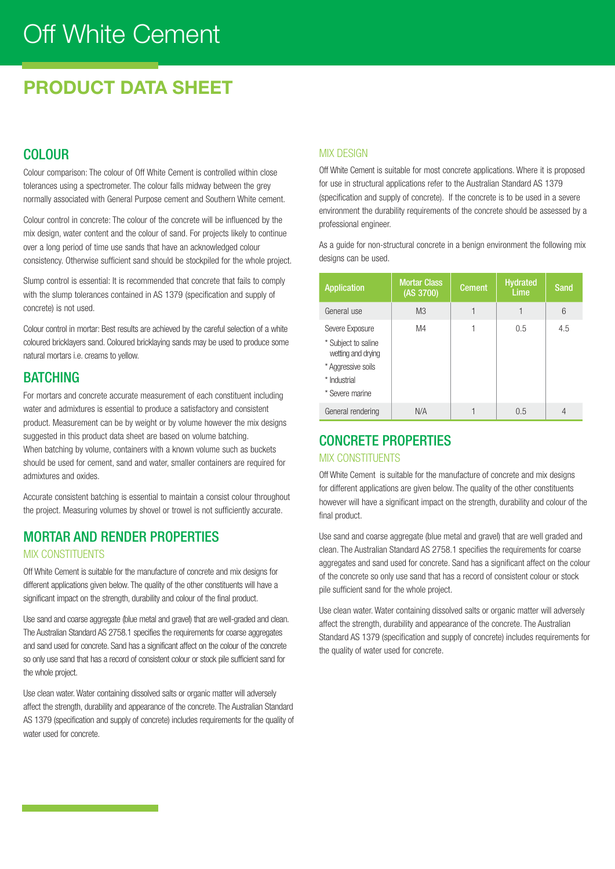# Off White Cement

# PRODUCT DATA SHEET

# COLOUR

Colour comparison: The colour of Off White Cement is controlled within close tolerances using a spectrometer. The colour falls midway between the grey normally associated with General Purpose cement and Southern White cement.

Colour control in concrete: The colour of the concrete will be influenced by the mix design, water content and the colour of sand. For projects likely to continue over a long period of time use sands that have an acknowledged colour consistency. Otherwise sufficient sand should be stockpiled for the whole project.

Slump control is essential: It is recommended that concrete that fails to comply with the slump tolerances contained in AS 1379 (specification and supply of concrete) is not used.

Colour control in mortar: Best results are achieved by the careful selection of a white coloured bricklayers sand. Coloured bricklaying sands may be used to produce some natural mortars i.e. creams to yellow.

### **BATCHING**

For mortars and concrete accurate measurement of each constituent including water and admixtures is essential to produce a satisfactory and consistent product. Measurement can be by weight or by volume however the mix designs suggested in this product data sheet are based on volume batching. When batching by volume, containers with a known volume such as buckets should be used for cement, sand and water, smaller containers are required for admixtures and oxides.

Accurate consistent batching is essential to maintain a consist colour throughout the project. Measuring volumes by shovel or trowel is not sufficiently accurate.

# MORTAR AND RENDER PROPERTIES

### MIX CONSTITUENTS

Off White Cement is suitable for the manufacture of concrete and mix designs for different applications given below. The quality of the other constituents will have a significant impact on the strength, durability and colour of the final product.

Use sand and coarse aggregate (blue metal and gravel) that are well-graded and clean. The Australian Standard AS 2758.1 specifies the requirements for coarse aggregates and sand used for concrete. Sand has a significant affect on the colour of the concrete so only use sand that has a record of consistent colour or stock pile sufficient sand for the whole project.

Use clean water. Water containing dissolved salts or organic matter will adversely affect the strength, durability and appearance of the concrete. The Australian Standard AS 1379 (specification and supply of concrete) includes requirements for the quality of water used for concrete.

### **MIX DESIGN**

Off White Cement is suitable for most concrete applications. Where it is proposed for use in structural applications refer to the Australian Standard AS 1379 (specification and supply of concrete). If the concrete is to be used in a severe environment the durability requirements of the concrete should be assessed by a professional engineer.

As a guide for non-structural concrete in a benign environment the following mix designs can be used.

| <b>Application</b>                                                                                                    | <b>Mortar Class</b><br>(AS 3700) | <b>Cement</b> | <b>Hydrated</b><br>Lime | <b>Sand</b> |
|-----------------------------------------------------------------------------------------------------------------------|----------------------------------|---------------|-------------------------|-------------|
| General use                                                                                                           | M <sub>3</sub>                   |               | 1                       | 6           |
| Severe Exposure<br>* Subject to saline<br>wetting and drying<br>* Aggressive soils<br>* Industrial<br>* Severe marine | M4                               |               | 0.5                     | 4.5         |
| General rendering                                                                                                     | N/A                              |               | 0.5                     | 4           |

# CONCRETE PROPERTIES

#### MIX CONSTITUENTS

Off White Cement is suitable for the manufacture of concrete and mix designs for different applications are given below. The quality of the other constituents however will have a significant impact on the strength, durability and colour of the final product.

Use sand and coarse aggregate (blue metal and gravel) that are well graded and clean. The Australian Standard AS 2758.1 specifies the requirements for coarse aggregates and sand used for concrete. Sand has a significant affect on the colour of the concrete so only use sand that has a record of consistent colour or stock pile sufficient sand for the whole project.

Use clean water. Water containing dissolved salts or organic matter will adversely affect the strength, durability and appearance of the concrete. The Australian Standard AS 1379 (specification and supply of concrete) includes requirements for the quality of water used for concrete.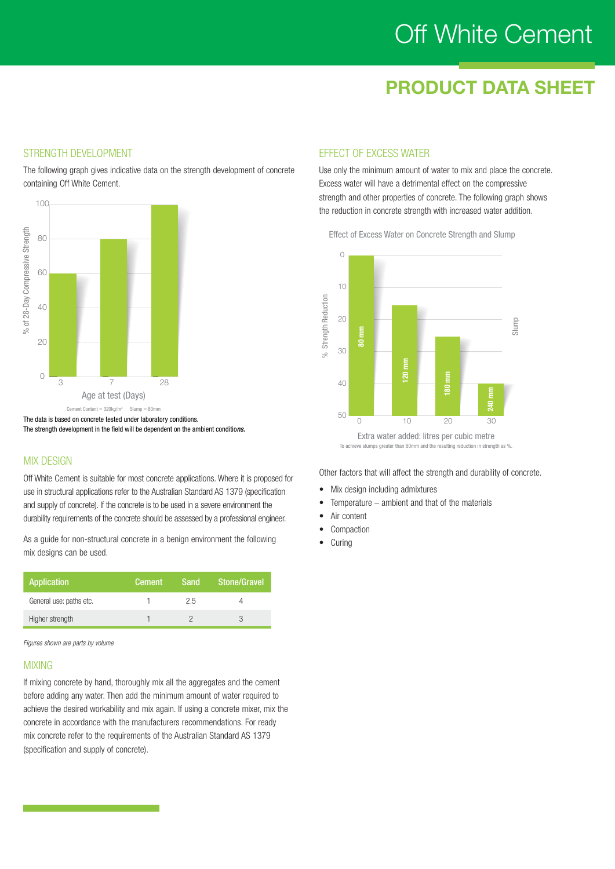# Off White Cement

# PRODUCT DATA SHEET

### STRENGTH DEVELOPMENT

The following graph gives indicative data on the strength development of concrete containing Off White Cement.



The data is based on concrete tested under laboratory conditions. The strength development in the field will be dependent on the ambient conditio*ns.*

#### **MIX DESIGN**

Off White Cement is suitable for most concrete applications. Where it is proposed for use in structural applications refer to the Australian Standard AS 1379 (specification and supply of concrete). If the concrete is to be used in a severe environment the durability requirements of the concrete should be assessed by a professional engineer.

As a guide for non-structural concrete in a benign environment the following mix designs can be used.

| Application             | <b>Cement</b> | Sand | Stone/Gravel |
|-------------------------|---------------|------|--------------|
| General use: paths etc. |               | 2.5  |              |
| Higher strength         |               |      |              |

*Figures shown are parts by volume*

#### MIXING

If mixing concrete by hand, thoroughly mix all the aggregates and the cement before adding any water. Then add the minimum amount of water required to achieve the desired workability and mix again. If using a concrete mixer, mix the concrete in accordance with the manufacturers recommendations. For ready mix concrete refer to the requirements of the Australian Standard AS 1379 (specification and supply of concrete).

### EFFECT OF EXCESS WATER

Use only the minimum amount of water to mix and place the concrete. Excess water will have a detrimental effect on the compressive strength and other properties of concrete. The following graph shows the reduction in concrete strength with increased water addition.

Effect of Excess Water on Concrete Strength and Slump



Other factors that will affect the strength and durability of concrete.

- Mix design including admixtures
- Temperature ambient and that of the materials
- Air content
- **Compaction**
- Curing